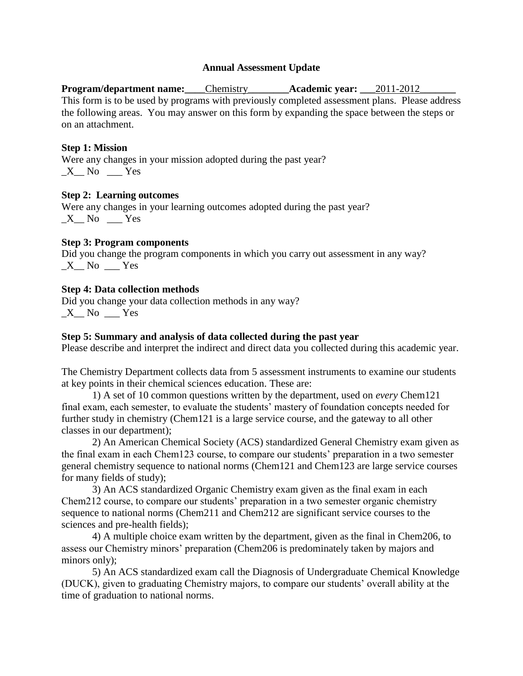### **Annual Assessment Update**

**Program/department name:\_\_\_\_**Chemistry**\_\_\_\_\_\_\_\_Academic year: \_\_\_**2011-2012**\_\_\_\_\_\_\_** This form is to be used by programs with previously completed assessment plans. Please address the following areas. You may answer on this form by expanding the space between the steps or on an attachment.

### **Step 1: Mission**

Were any changes in your mission adopted during the past year?  $X$ <sup>No</sup>  $Y$ es

### **Step 2: Learning outcomes**

Were any changes in your learning outcomes adopted during the past year?  $X$  No  $Y$ es

### **Step 3: Program components**

Did you change the program components in which you carry out assessment in any way?  $X$ <sup>No</sup>  $Y$ es

### **Step 4: Data collection methods**

Did you change your data collection methods in any way?  $X$ <sup>No</sup>  $Y$ es

### **Step 5: Summary and analysis of data collected during the past year**

Please describe and interpret the indirect and direct data you collected during this academic year.

The Chemistry Department collects data from 5 assessment instruments to examine our students at key points in their chemical sciences education. These are:

1) A set of 10 common questions written by the department, used on *every* Chem121 final exam, each semester, to evaluate the students' mastery of foundation concepts needed for further study in chemistry (Chem121 is a large service course, and the gateway to all other classes in our department);

2) An American Chemical Society (ACS) standardized General Chemistry exam given as the final exam in each Chem123 course, to compare our students' preparation in a two semester general chemistry sequence to national norms (Chem121 and Chem123 are large service courses for many fields of study);

3) An ACS standardized Organic Chemistry exam given as the final exam in each Chem212 course, to compare our students' preparation in a two semester organic chemistry sequence to national norms (Chem211 and Chem212 are significant service courses to the sciences and pre-health fields);

4) A multiple choice exam written by the department, given as the final in Chem206, to assess our Chemistry minors' preparation (Chem206 is predominately taken by majors and minors only);

5) An ACS standardized exam call the Diagnosis of Undergraduate Chemical Knowledge (DUCK), given to graduating Chemistry majors, to compare our students' overall ability at the time of graduation to national norms.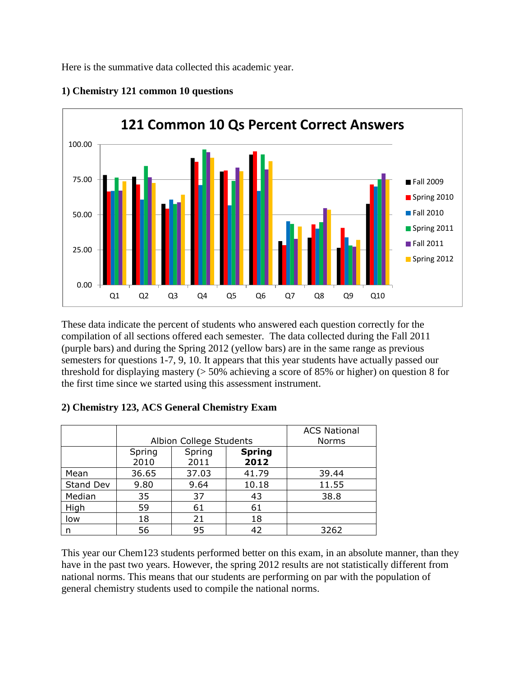Here is the summative data collected this academic year.



## **1) Chemistry 121 common 10 questions**

These data indicate the percent of students who answered each question correctly for the compilation of all sections offered each semester. The data collected during the Fall 2011 (purple bars) and during the Spring 2012 (yellow bars) are in the same range as previous semesters for questions 1-7, 9, 10. It appears that this year students have actually passed our threshold for displaying mastery (> 50% achieving a score of 85% or higher) on question 8 for the first time since we started using this assessment instrument.

|           |                | Albion College Students | <b>ACS National</b><br><b>Norms</b> |       |  |
|-----------|----------------|-------------------------|-------------------------------------|-------|--|
|           | Spring<br>2010 | Spring<br>2011          | <b>Spring</b><br>2012               |       |  |
| Mean      | 36.65          | 37.03                   | 41.79                               | 39.44 |  |
| Stand Dev | 9.80           | 9.64                    | 10.18                               | 11.55 |  |
| Median    | 35             | 37                      | 43                                  | 38.8  |  |
| High      | 59             | 61                      | 61                                  |       |  |
| low       | 18             | 21                      | 18                                  |       |  |
| n         | 56             | 95                      | 42                                  | 3262  |  |

### **2) Chemistry 123, ACS General Chemistry Exam**

This year our Chem123 students performed better on this exam, in an absolute manner, than they have in the past two years. However, the spring 2012 results are not statistically different from national norms. This means that our students are performing on par with the population of general chemistry students used to compile the national norms.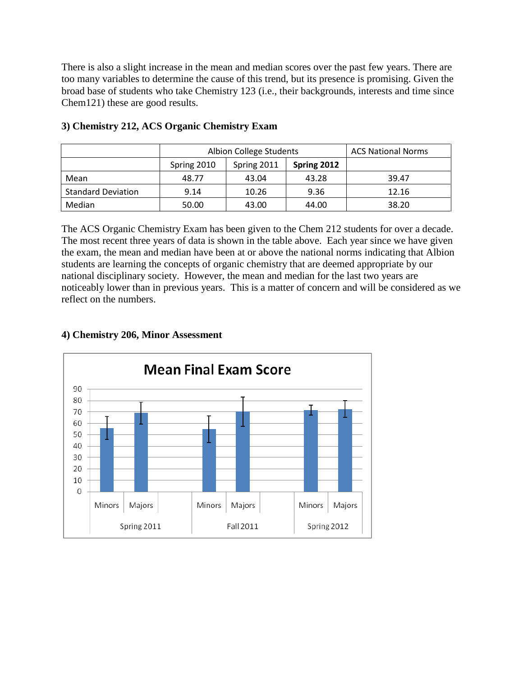There is also a slight increase in the mean and median scores over the past few years. There are too many variables to determine the cause of this trend, but its presence is promising. Given the broad base of students who take Chemistry 123 (i.e., their backgrounds, interests and time since Chem121) these are good results.

|                           |             | Albion College Students | <b>ACS National Norms</b> |       |  |
|---------------------------|-------------|-------------------------|---------------------------|-------|--|
|                           | Spring 2010 | Spring 2011             | Spring 2012               |       |  |
| Mean                      | 48.77       | 43.04                   | 43.28                     | 39.47 |  |
| <b>Standard Deviation</b> | 9.14        | 10.26                   | 9.36                      | 12.16 |  |
| Median                    | 50.00       | 43.00                   | 44.00                     | 38.20 |  |

# **3) Chemistry 212, ACS Organic Chemistry Exam**

The ACS Organic Chemistry Exam has been given to the Chem 212 students for over a decade. The most recent three years of data is shown in the table above. Each year since we have given the exam, the mean and median have been at or above the national norms indicating that Albion students are learning the concepts of organic chemistry that are deemed appropriate by our national disciplinary society. However, the mean and median for the last two years are noticeably lower than in previous years. This is a matter of concern and will be considered as we reflect on the numbers.

# **4) Chemistry 206, Minor Assessment**

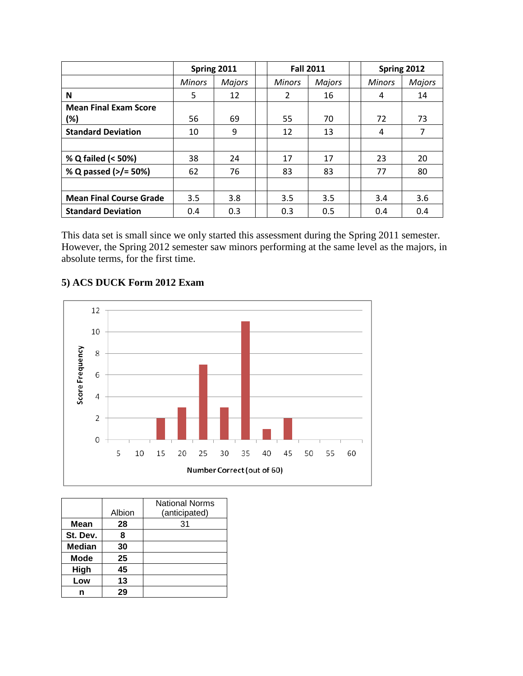|                                | Spring 2011   |               | <b>Fall 2011</b> |               | Spring 2012   |               |
|--------------------------------|---------------|---------------|------------------|---------------|---------------|---------------|
|                                | <b>Minors</b> | <b>Majors</b> | <b>Minors</b>    | <b>Majors</b> | <b>Minors</b> | <b>Majors</b> |
| N                              | 5             | 12            | $\overline{2}$   | 16            | 4             | 14            |
| <b>Mean Final Exam Score</b>   |               |               |                  |               |               |               |
| (%)                            | 56            | 69            | 55               | 70            | 72            | 73            |
| <b>Standard Deviation</b>      | 10            | 9             | 12               | 13            | 4             | 7             |
|                                |               |               |                  |               |               |               |
| % Q failed (< 50%)             | 38            | 24            | 17               | 17            | 23            | 20            |
| % Q passed (>/= 50%)           | 62            | 76            | 83               | 83            | 77            | 80            |
|                                |               |               |                  |               |               |               |
| <b>Mean Final Course Grade</b> | 3.5           | 3.8           | 3.5              | 3.5           | 3.4           | 3.6           |
| <b>Standard Deviation</b>      | 0.4           | 0.3           | 0.3              | 0.5           | 0.4           | 0.4           |

This data set is small since we only started this assessment during the Spring 2011 semester. However, the Spring 2012 semester saw minors performing at the same level as the majors, in absolute terms, for the first time.

# **5) ACS DUCK Form 2012 Exam**



|               | Albion | <b>National Norms</b><br>(anticipated) |
|---------------|--------|----------------------------------------|
| Mean          | 28     | 31                                     |
| St. Dev.      | 8      |                                        |
| <b>Median</b> | 30     |                                        |
| <b>Mode</b>   | 25     |                                        |
| High          | 45     |                                        |
| Low           | 13     |                                        |
|               | 29     |                                        |